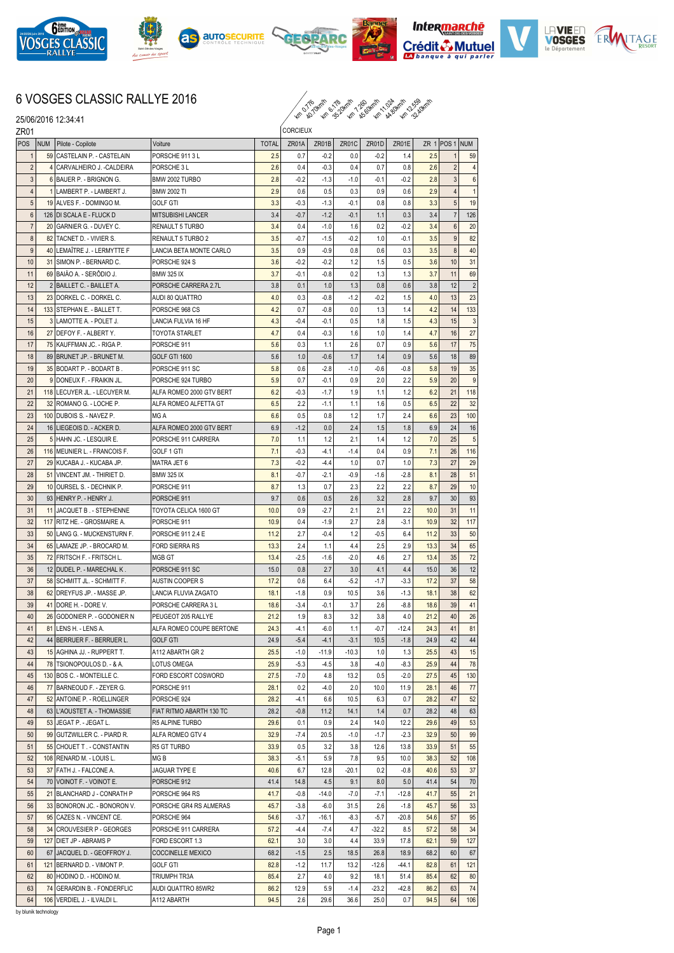

25/06/2016 12:34:41











## 6 VOSGES CLASSIC RALLYE 2016

km kh 32.40km 12.60km 12.50km

| ZR <sub>01</sub> |            |                                                       |                                  |              |                  | <b>CORCIEUX</b>  |               |            |               |            |                         |            |  |
|------------------|------------|-------------------------------------------------------|----------------------------------|--------------|------------------|------------------|---------------|------------|---------------|------------|-------------------------|------------|--|
| POS              | <b>NUM</b> | Pilote - Copilote                                     | Voiture                          | <b>TOTAL</b> | ZR01A            | ZR01B            | ZR01C         | ZR01D      | ZR01E         |            | ZR $1$ POS 1            | NUM        |  |
| $\mathbf{1}$     |            | 59 CASTELAIN P. - CASTELAIN                           | PORSCHE 9113L                    | 2.5          | 0.7              | $-0.2$           | 0.0           | $-0.2$     | 1.4           | 2.5        | 1                       | 59         |  |
| $\overline{c}$   |            | 4 CARVALHEIRO J. - CALDEIRA                           | PORSCHE 3L                       | 2.6          | 0.4              | $-0.3$           | 0.4           | 0.7        | 0.8           | 2.6        | $\overline{\mathbf{c}}$ | 4          |  |
| 3                |            | 6 BAUER P. - BRIGNON G.                               | BMW 2002 TURBO                   | 2.8          | $-0.2$           | $-1.3$           | $-1.0$        | $-0.1$     | $-0.2$        | 2.8        | $\overline{3}$          | 6          |  |
| $\overline{4}$   |            | 1 LAMBERT P. - LAMBERT J.                             | <b>BMW 2002 TI</b>               | 2.9          | 0.6              | 0.5              | 0.3           | 0.9        | 0.6           | 2.9        | $\overline{4}$          | 1          |  |
| 5                |            | 19 ALVES F. - DOMINGO M.                              | <b>GOLF GTI</b>                  | 3.3          | $-0.3$           | $-1.3$           | $-0.1$        | 0.8        | 0.8           | 3.3        | 5                       | 19         |  |
| 6                |            | 126 DI SCALA E - FLUCK D                              | <b>MITSUBISHI LANCER</b>         | 3.4          | $-0.7$           | $-1.2$           | $-0.1$        | 1.1        | 0.3           | 3.4        | $\overline{7}$          | 126        |  |
| $\overline{7}$   | 20         | GARNIER G. - DUVEY C.                                 | RENAULT 5 TURBO                  | 3.4          | 0.4              | $-1.0$           | 1.6           | 0.2        | $-0.2$        | 3.4        | 6                       | 20         |  |
| 8                | 82         | TACNET D. - VIVIER S.                                 | RENAULT 5 TURBO 2                | 3.5          | $-0.7$           | $-1.5$           | $-0.2$        | 1.0        | $-0.1$        | 3.5        | 9                       | 82         |  |
| 9                | 40         | LEMAÎTRE J. - LERMYTTE F                              | LANCIA BETA MONTE CARLO          | 3.5          | 0.9              | $-0.9$           | 0.8           | 0.6        | 0.3           | 3.5        | 8                       | 40         |  |
| 10               | 31         | <b>SIMON P. - BERNARD C.</b>                          | PORSCHE 924 S                    | 3.6          | $-0.2$           | $-0.2$           | 1.2           | 1.5        | 0.5           | 3.6        | 10                      | 31         |  |
| 11               |            | 69 BAJÃO A. - SERÔDIO J.                              | <b>BMW 325 IX</b>                | 3.7          | $-0.1$           | $-0.8$           | 0.2           | 1.3        | 1.3           | 3.7        | 11                      | 69         |  |
| 12               |            | 2 BAILLET C. - BAILLET A.                             | PORSCHE CARRERA 2.7L             | 3.8          | 0.1              | 1.0              | 1.3           | 0.8        | 0.6           | 3.8        | 12                      | $\sqrt{2}$ |  |
| 13               | 23         | DORKEL C. - DORKEL C.                                 | AUDI 80 QUATTRO                  | 4.0          | 0.3              | $-0.8$           | $-1.2$        | $-0.2$     | 1.5           | 4.0        | 13                      | 23         |  |
| 14               | 133        | STEPHAN E. - BALLET T.                                | PORSCHE 968 CS                   | 4.2          | 0.7              | $-0.8$           | 0.0           | 1.3        | 1.4           | 4.2        | 14                      | 133        |  |
| 15               |            | 3 LAMOTTE A. - POLET J.                               | LANCIA FULVIA 16 HF              | 4.3          | $-0.4$           | $-0.1$           | 0.5           | 1.8        | 1.5           | 4.3        | 15                      | 3          |  |
| 16               | 27         | DEFOY F. - ALBERT Y.                                  | <b>TOYOTA STARLET</b>            | 4.7          | 0.4              | $-0.3$           | 1.6           | 1.0        | 1.4           | 4.7        | 16                      | 27         |  |
| 17               | 75         | KAUFFMAN JC. - RIGA P.                                | PORSCHE 911                      | 5.6          | 0.3              | 1.1              | 2.6           | 0.7        | 0.9           | 5.6        | 17                      | 75         |  |
| 18               |            | 89 BRUNET JP. - BRUNET M.                             | GOLF GTI 1600                    | 5.6          | 1.0              | $-0.6$           | 1.7           | 1.4        | 0.9           | 5.6        | 18                      | 89         |  |
| 19               | 35         | BODART P. - BODART B.                                 | PORSCHE 911 SC                   | 5.8          | 0.6              | $-2.8$           | $-1.0$        | $-0.6$     | $-0.8$        | 5.8        | 19                      | 35         |  |
| 20               | 9          | DONEUX F. - FRAIKIN JL.                               | PORSCHE 924 TURBO                | 5.9          | 0.7              | $-0.1$           | 0.9           | 2.0        | 2.2           | 5.9        | 20                      | 9          |  |
| 21               | 118        | LECUYER JL. - LECUYER M.                              | ALFA ROMEO 2000 GTV BERT         | 6.2          | $-0.3$           | $-1.7$           | 1.9           | 1.1        | 1.2           | 6.2        | 21                      | 118        |  |
| 22               | 32         | IROMANO G. - LOCHE P.                                 | ALFA ROMEO ALFETTA GT            | 6.5          | 2.2              | $-1.1$           | 1.1           | 1.6        | 0.5           | 6.5        | 22                      | 32         |  |
| 23               | 100        | DUBOIS S. - NAVEZ P.                                  | MG A                             | 6.6          | 0.5              | 0.8              | 1.2           | 1.7        | 2.4           | 6.6        | 23                      | 100        |  |
| 24               |            | 16 LIEGEOIS D. - ACKER D.                             | ALFA ROMEO 2000 GTV BERT         | 6.9          | $-1.2$           | 0.0              | 2.4           | 1.5        | 1.8           | 6.9        | 24                      | 16         |  |
| 25<br>26         | 5          | HAHN JC. - LESQUIR E.                                 | PORSCHE 911 CARRERA              | 7.0<br>7.1   | 1.1              | 1.2              | 2.1           | 1.4        | 1.2           | 7.0        | 25                      | 5          |  |
| 27               |            | 116   MEUNIER L. - FRANCOIS F.                        | GOLF 1 GTI                       | 7.3          | $-0.3$<br>$-0.2$ | $-4.1$           | $-1.4$        | 0.4<br>0.7 | 0.9           | 7.1        | 26<br>27                | 116        |  |
| 28               | 51         | 29 KUCABA J. - KUCABA JP.<br>VINCENT JM. - THIRIET D. | MATRA JET 6<br><b>BMW 325 IX</b> | 8.1          | $-0.7$           | $-4.4$<br>$-2.1$ | 1.0<br>$-0.9$ | $-1.6$     | 1.0<br>$-2.8$ | 7.3<br>8.1 | 28                      | 29<br>51   |  |
| 29               |            | 10 OURSEL S. - DECHNIK P.                             | PORSCHE 911                      | 8.7          | 1.3              | 0.7              | 2.3           | 2.2        | 2.2           | 8.7        | 29                      | 10         |  |
| 30               |            | 93 HENRY P. - HENRY J.                                | PORSCHE 911                      | 9.7          | 0.6              | 0.5              | 2.6           | 3.2        | 2.8           | 9.7        | 30                      | 93         |  |
| 31               | 11         | JACQUET B. - STEPHENNE                                | TOYOTA CELICA 1600 GT            | 10.0         | 0.9              | $-2.7$           | 2.1           | 2.1        | 2.2           | 10.0       | 31                      | 11         |  |
| 32               | 117        | RITZ HE. - GROSMAIRE A.                               | PORSCHE 911                      | 10.9         | 0.4              | $-1.9$           | 2.7           | 2.8        | $-3.1$        | 10.9       | 32                      | 117        |  |
| 33               | 50         | LANG G. - MUCKENSTURN F.                              | PORSCHE 911 2.4 E                | 11.2         | 2.7              | $-0.4$           | 1.2           | $-0.5$     | 6.4           | 11.2       | 33                      | 50         |  |
| 34               | 65         | LAMAZE JP. - BROCARD M.                               | FORD SIERRA RS                   | 13.3         | 2.4              | 1.1              | 4.4           | 2.5        | 2.9           | 13.3       | 34                      | 65         |  |
| 35               | 72         | FRITSCH F. - FRITSCH L.                               | MGB GT                           | 13.4         | $-2.5$           | -1.6             | $-2.0$        | 4.6        | 2.7           | 13.4       | 35                      | 72         |  |
| 36               | 12         | <b>IDUDEL P. - MARECHAL K.</b>                        | PORSCHE 911 SC                   | 15.0         | 0.8              | 2.7              | 3.0           | 4.1        | 4.4           | 15.0       | 36                      | 12         |  |
| 37               | 58         | SCHMITT JL. - SCHMITT F.                              | AUSTIN COOPER S                  | 17.2         | 0.6              | 6.4              | $-5.2$        | $-1.7$     | $-3.3$        | 17.2       | 37                      | 58         |  |
| 38               | 62         | DREYFUS JP. - MASSE JP.                               | LANCIA FLUVIA ZAGATO             | 18.1         | $-1.8$           | 0.9              | 10.5          | 3.6        | $-1.3$        | 18.1       | 38                      | 62         |  |
| 39               | 41         | DORE H. - DORE V.                                     | PORSCHE CARRERA 3 L              | 18.6         | $-3.4$           | $-0.1$           | 3.7           | 2.6        | $-8.8$        | 18.6       | 39                      | 41         |  |
| 40               | 26         | GODONIER P. - GODONIER N                              | PEUGEOT 205 RALLYE               | 21.2         | 1.9              | 8.3              | 3.2           | 3.8        | 4.0           | 21.2       | 40                      | 26         |  |
| 41               | 81         | LENS H. - LENS A.                                     | ALFA ROMEO COUPE BERTONE         | 24.3         | $-4.1$           | $-6.0$           | 1.1           | $-0.7$     | $-12.4$       | 24.3       | 41                      | 81         |  |
| 42               |            | 44 BERRUER F. - BERRUER L.                            | <b>GOLF GTI</b>                  | 24.9         | $-5.4$           | $-4.1$           | $-3.1$        | 10.5       | $-1.8$        | 24.9       | 42                      | 44         |  |
| 43               |            | 15 AGHINA JJ. - RUPPERT T.                            | A112 ABARTH GR 2                 | 25.5         | $-1.0$           | $-11.9$          | $-10.3$       | 1.0        | 1.3           | 25.5       | 43                      | 15         |  |
| 44               |            | 78 TSIONOPOULOS D. - & A.                             | LOTUS OMEGA                      | 25.9         | $-5.3$           | $-4.5$           | 3.8           | $-4.0$     | $-8.3$        | 25.9       | 44                      | 78         |  |
| 45               |            | 130 BOS C. - MONTEILLE C.                             | FORD ESCORT COSWORD              | 27.5         | $-7.0$           | 4.8              | 13.2          | 0.5        | $-2.0$        | 27.5       | 45                      | 130        |  |
| 46               |            | 77 BARNEOUD F. - ZEYER G.                             | PORSCHE 911                      | 28.1         | 0.2              | $-4.0$           | 2.0           | 10.0       | 11.9          | 28.1       | 46                      | 77         |  |
| 47               | 52         | ANTOINE P. - ROELLINGER                               | PORSCHE 924                      | 28.2         | $-4.1$           | 6.6              | 10.5          | 6.3        | 0.7           | 28.2       | 47                      | 52         |  |
| 48               |            | 63 L'AOUSTET A. - THOMASSIE                           | FIAT RITMO ABARTH 130 TC         | 28.2         | $-0.8$           | 11.2             | 14.1          | 1.4        | 0.7           | 28.2       | 48                      | 63         |  |
| 49               |            | 53 JEGAT P. - JEGAT L.                                | R5 ALPINE TURBO                  | 29.6         | 0.1              | 0.9              | 2.4           | 14.0       | 12.2          | 29.6       | 49                      | 53         |  |
| 50               |            | 99 GUTZWILLER C. - PIARD R.                           | ALFA ROMEO GTV 4                 | 32.9         | $-7.4$           | 20.5             | $-1.0$        | $-1.7$     | $-2.3$        | 32.9       | 50                      | 99         |  |
| 51               | 55         | CHOUET T. - CONSTANTIN                                | R5 GT TURBO                      | 33.9         | 0.5              | 3.2              | 3.8           | 12.6       | 13.8          | 33.9       | 51                      | 55         |  |
| 52               |            | 108 RENARD M. - LOUIS L.                              | MG B                             | 38.3         | $-5.1$           | 5.9              | 7.8           | 9.5        | 10.0          | 38.3       | 52                      | 108        |  |
| 53               |            | 37 FATH J. - FALCONE A.                               | JAGUAR TYPE E                    | 40.6         | 6.7              | 12.8             | $-20.1$       | 0.2        | $-0.8$        | 40.6       | 53                      | 37         |  |
| 54               |            | 70 VOINOT F. - VOINOT E.                              | PORSCHE 912                      | 41.4         | 14.8             | 4.5              | 9.1           | 8.0        | 5.0           | 41.4       | 54                      | 70         |  |
| 55               |            | 21 BLANCHARD J - CONRATH P                            | PORSCHE 964 RS                   | 41.7         | $-0.8$           | $-14.0$          | $-7.0$        | $-7.1$     | $-12.8$       | 41.7       | 55                      | 21         |  |
| 56               |            | 33 BONORON JC. - BONORON V.                           | PORSCHE GR4 RS ALMERAS           | 45.7         | $-3.8$           | $-6.0$           | 31.5          | 2.6        | $-1.8$        | 45.7       | 56                      | 33         |  |
| 57               |            | 95 CAZES N. - VINCENT CE.                             | PORSCHE 964                      | 54.6         | $-3.7$           | $-16.1$          | $-8.3$        | $-5.7$     | $-20.8$       | 54.6       | 57                      | 95         |  |
| 58               |            | 34 CROUVESIER P - GEORGES                             | PORSCHE 911 CARRERA              | 57.2         | $-4.4$           | $-7.4$           | 4.7           | $-32.2$    | 8.5           | 57.2       | 58                      | 34         |  |
| 59               | 127        | DIET JP - ABRAMS P                                    | FORD ESCORT 1.3                  | 62.1         | 3.0              | 3.0              | 4.4           | 33.9       | 17.8          | 62.1       | 59                      | 127        |  |
| 60               | 67         | JACQUEL D. - GEOFFROY J.                              | <b>COCCINELLE MEXICO</b>         | 68.2         | $-1.5$           | 2.5              | 18.5          | 26.8       | 18.9          | 68.2       | 60                      | 67         |  |
| 61               | 121        | BERNARD D. - VIMONT P.                                | <b>GOLF GTI</b>                  | 82.8         | $-1.2$           | 11.7             | 13.2          | $-12.6$    | $-44.1$       | 82.8       | 61                      | 121        |  |
| 62               |            | 80 HODINO D. - HODINO M.                              | TRIUMPH TR3A                     | 85.4         | 2.7              | 4.0              | 9.2           | 18.1       | 51.4          | 85.4       | 62                      | 80         |  |
| 63               | 74         | <b>GERARDIN B. - FONDERFLIC</b>                       | AUDI QUATTRO 85WR2               | 86.2         | 12.9             | 5.9              | $-1.4$        | $-23.2$    | -42.8         | 86.2       | 63                      | 74         |  |
| 64               | 106        | VERDIEL J. - ILVALDI L.                               | A112 ABARTH                      | 94.5         | 2.6              | 29.6             | 36.6          | 25.0       | 0.7           | 94.5       | 64                      | 106        |  |

by blunik technology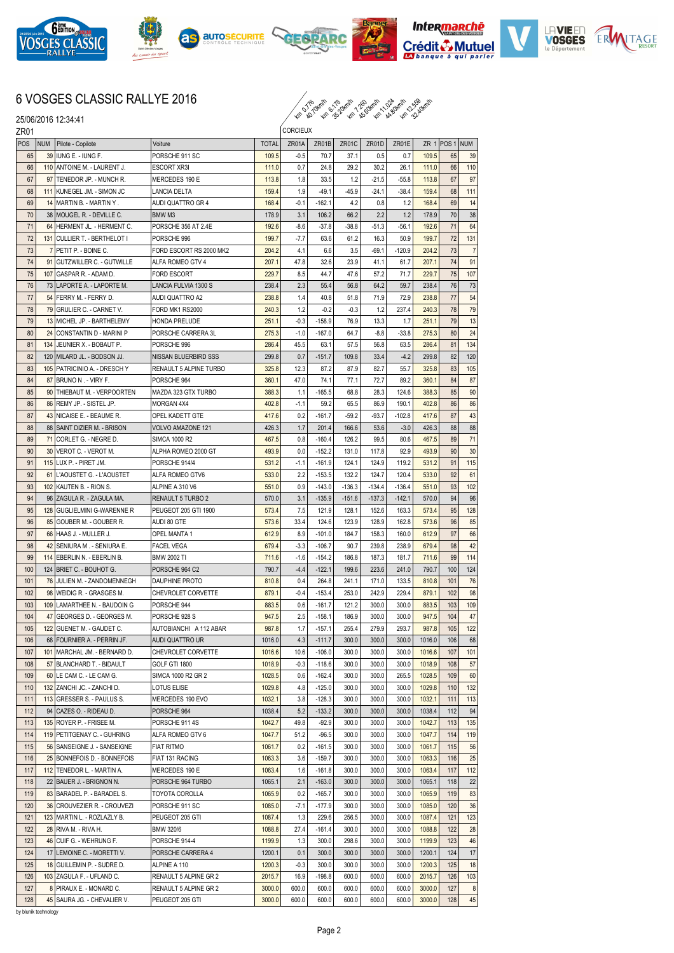













## 6 VOSGES CLASSIC RALLYE 2016



|     |                  | 25/06/2016 12:34:41                                    |                                       |              |                 | <i>16, 10; 16, 20; 10, 10, 10, 10, 11, 10, 10, 21,</i> |          |          |          |        |                |                |  |
|-----|------------------|--------------------------------------------------------|---------------------------------------|--------------|-----------------|--------------------------------------------------------|----------|----------|----------|--------|----------------|----------------|--|
|     | ZR <sub>01</sub> |                                                        |                                       |              | <b>CORCIEUX</b> |                                                        |          |          |          |        |                |                |  |
| POS | <b>NUM</b>       | Pilote - Copilote                                      | Voiture                               | <b>TOTAL</b> | ZR01A           | ZR01B                                                  | ZR01C    | ZR01D    | ZR01E    |        | ZR 1 POS 1 NUM |                |  |
| 65  | 39               | IUNG E. - IUNG F.                                      | PORSCHE 911 SC                        | 109.5        | $-0.5$          | 70.7                                                   | 37.1     | 0.5      | 0.7      | 109.5  | 65             | 39             |  |
| 66  | 110              | ANTOINE M. - LAURENT J.                                | ESCORT XR3I                           | 111.0        | 0.7             | 24.8                                                   | 29.2     | 30.2     | 26.1     | 111.0  | 66             | 110            |  |
| 67  | 97               | TENEDOR JP. - MUNCH R.                                 | MERCEDES 190 E                        | 113.8        | 1.8             | 33.5                                                   | 1.2      | $-21.5$  | $-55.8$  | 113.8  | 67             | 97             |  |
| 68  | 111              | KUNEGEL JM. - SIMON JC                                 | LANCIA DELTA                          | 159.4        | 1.9             | $-49.1$                                                | $-45.9$  | $-24.1$  | $-38.4$  | 159.4  | 68             | 111            |  |
| 69  | 14               | MARTIN B. - MARTIN Y .                                 | AUDI QUATTRO GR 4                     | 168.4        | $-0.1$          | $-162.1$                                               | 4.2      | 0.8      | 1.2      | 168.4  | 69             | 14             |  |
| 70  | 38               | MOUGEL R. - DEVILLE C.                                 | BMW <sub>M3</sub>                     | 178.9        | 3.1             | 106.2                                                  | 66.2     | 2.2      | 1.2      | 178.9  | 70             | 38             |  |
| 71  |                  | 64 HERMENT JL. - HERMENT C.                            | PORSCHE 356 AT 2.4E                   | 192.6        | $-8.6$          | $-37.8$                                                | $-38.8$  | $-51.3$  | $-56.1$  | 192.6  | 71             | 64             |  |
| 72  |                  | 131 CULLIER T. - BERTHELOT I                           | PORSCHE 996                           | 199.7        | -7.7            | 63.6                                                   | 61.2     | 16.3     | 50.9     | 199.7  | 72             | 131            |  |
| 73  | 7                | PETIT P. - BOINE C.                                    | FORD ESCORT RS 2000 MK2               | 204.2        | 4.1             | 6.6                                                    | 3.5      | -69.1    | $-120.9$ | 204.2  | 73             | $\overline{7}$ |  |
| 74  | 91               | GUTZWILLER C. - GUTWILLE                               | ALFA ROMEO GTV 4                      | 207.1        | 47.8            | 32.6                                                   | 23.9     | 41.1     | 61.7     | 207.1  | 74             | 91             |  |
| 75  | 107              | GASPAR R. - ADAM D.                                    | <b>FORD ESCORT</b>                    | 229.7        | 8.5             | 44.7                                                   | 47.6     | 57.2     | 71.7     | 229.7  | 75             | 107            |  |
| 76  | 73               | LAPORTE A. - LAPORTE M.                                | LANCIA FULVIA 1300 S                  | 238.4        | 2.3             | 55.4                                                   | 56.8     | 64.2     | 59.7     | 238.4  | 76             | 73             |  |
| 77  | 54               | FERRY M. - FERRY D.                                    | AUDI QUATTRO A2                       | 238.8        | 1.4             | 40.8                                                   | 51.8     | 71.9     | 72.9     | 238.8  | 77             | 54             |  |
| 78  | 79               | GRULIER C. - CARNET V.                                 | FORD MK1 RS2000                       | 240.3        | 1.2             | $-0.2$                                                 | $-0.3$   | 1.2      | 237.4    | 240.3  | 78             | 79             |  |
| 79  |                  | 13 MICHEL JP. - BARTHELEMY                             | HONDA PRELUDE                         | 251.1        | $-0.3$          | $-158.9$                                               | 76.9     | 13.3     | 1.7      | 251.1  | 79             | 13             |  |
| 80  |                  | 24 CONSTANTIN D - MARINI P                             | PORSCHE CARRERA 3L                    | 275.3        | $-1.0$          | $-167.0$                                               | 64.7     | $-8.8$   | $-33.8$  | 275.3  | 80             | 24             |  |
| 81  | 134              | JEUNIER X. - BOBAUT P.                                 | PORSCHE 996                           | 286.4        | 45.5            | 63.1                                                   | 57.5     | 56.8     | 63.5     | 286.4  | 81             | 134            |  |
| 82  |                  |                                                        | NISSAN BLUERBIRD SSS                  | 299.8        | 0.7             | $-151.7$                                               | 109.8    | 33.4     | $-4.2$   | 299.8  | 82             | 120            |  |
| 83  |                  | 120 MILARD JL. - BODSON JJ.                            |                                       |              |                 |                                                        |          |          |          | 325.8  | 83             |                |  |
|     | 105              | PATRICINIO A. - DRESCH Y<br><b>IBRUNO N. - VIRY F.</b> | RENAULT 5 ALPINE TURBO<br>PORSCHE 964 | 325.8        | 12.3<br>47.0    | 87.2                                                   | 87.9     | 82.7     | 55.7     |        | 84             | 105            |  |
| 84  | 87               | THIEBAUT M. - VERPOORTEN                               |                                       | 360.1        |                 | 74.1                                                   | 77.1     | 72.7     | 89.2     | 360.1  |                | 87             |  |
| 85  | 90               |                                                        | MAZDA 323 GTX TURBO                   | 388.3        | 1.1             | $-165.5$                                               | 68.8     | 28.3     | 124.6    | 388.3  | 85             | 90             |  |
| 86  | 86               | REMY JP. - SISTEL JP.                                  | <b>MORGAN 4X4</b>                     | 402.8        | $-1.1$          | 59.2                                                   | 65.5     | 86.9     | 190.1    | 402.8  | 86             | 86             |  |
| 87  |                  | 43 NICAISE E. - BEAUME R.                              | OPEL KADETT GTE                       | 417.6        | 0.2             | $-161.7$                                               | $-59.2$  | $-93.7$  | $-102.8$ | 417.6  | 87             | 43             |  |
| 88  | 88               | <b>SAINT DIZIER M. - BRISON</b>                        | VOLVO AMAZONE 121                     | 426.3        | 1.7             | 201.4                                                  | 166.6    | 53.6     | $-3.0$   | 426.3  | 88             | 88             |  |
| 89  | 71               | CORLET G. - NEGRE D.                                   | <b>SIMCA 1000 R2</b>                  | 467.5        | 0.8             | $-160.4$                                               | 126.2    | 99.5     | 80.6     | 467.5  | 89             | 71             |  |
| 90  | 30               | VEROT C. - VEROT M.                                    | ALPHA ROMEO 2000 GT                   | 493.9        | 0.0             | $-152.2$                                               | 131.0    | 117.8    | 92.9     | 493.9  | 90             | 30             |  |
| 91  | 115              | LUX P. - PIRET JM.                                     | PORSCHE 914/4                         | 531.2        | $-1.1$          | $-161.9$                                               | 124.1    | 124.9    | 119.2    | 531.2  | 91             | 115            |  |
| 92  |                  | 61 L'AOUSTET G. - L'AOUSTET                            | ALFA ROMEO GTV6                       | 533.0        | 2.2             | $-153.5$                                               | 132.2    | 124.7    | 120.4    | 533.0  | 92             | 61             |  |
| 93  | 102              | KAUTEN B. - RION S.                                    | ALPINE A 310 V6                       | 551.0        | 0.9             | $-143.0$                                               | $-136.3$ | $-134.4$ | $-136.4$ | 551.0  | 93             | 102            |  |
| 94  | 96               | ZAGULA R. - ZAGULA MA.                                 | RENAULT 5 TURBO 2                     | 570.0        | 3.1             | $-135.9$                                               | $-151.6$ | $-137.3$ | $-142.1$ | 570.0  | 94             | 96             |  |
| 95  | 128              | GUGLIELMINI G-WARENNE R                                | PEUGEOT 205 GTI 1900                  | 573.4        | 7.5             | 121.9                                                  | 128.1    | 152.6    | 163.3    | 573.4  | 95             | 128            |  |
| 96  | 85               | GOUBER M. - GOUBER R.                                  | AUDI 80 GTE                           | 573.6        | 33.4            | 124.6                                                  | 123.9    | 128.9    | 162.8    | 573.6  | 96             | 85             |  |
| 97  | 66               | HAAS J. - MULLER J.                                    | OPEL MANTA 1                          | 612.9        | 8.9             | $-101.0$                                               | 184.7    | 158.3    | 160.0    | 612.9  | 97             | 66             |  |
| 98  |                  | 42 SENIURA M. - SENIURA E.                             | <b>FACEL VEGA</b>                     | 679.4        | $-3.3$          | $-106.7$                                               | 90.7     | 239.8    | 238.9    | 679.4  | 98             | 42             |  |
| 99  | 114              | leberlin N. - Eberlin B.                               | <b>BMW 2002 TI</b>                    | 711.6        | $-1.6$          | $-154.2$                                               | 186.8    | 187.3    | 181.7    | 711.6  | 99             | 114            |  |
| 100 |                  | 124 BRIET C. - BOUHOT G.                               | PORSCHE 964 C2                        | 790.7        | $-4.4$          | $-122.1$                                               | 199.6    | 223.6    | 241.0    | 790.7  | 100            | 124            |  |
| 101 | 76               | JULIEN M. - ZANDOMENNEGH                               | DAUPHINE PROTO                        | 810.8        | 0.4             | 264.8                                                  | 241.1    | 171.0    | 133.5    | 810.8  | 101            | 76             |  |
| 102 |                  | 98 WEIDIG R. - GRASGES M.                              | <b>CHEVROLET CORVETTE</b>             | 879.1        | $-0.4$          | $-153.4$                                               | 253.0    | 242.9    | 229.4    | 879.1  | 102            | 98             |  |
| 103 |                  | 109 LAMARTHEE N. - BAUDOIN G                           | PORSCHE 944                           | 883.5        | 0.6             | $-161.7$                                               | 121.2    | 300.0    | 300.0    | 883.5  | 103            | 109            |  |
| 104 |                  | 47 GEORGES D. - GEORGES M.                             | PORSCHE 928 S                         | 947.5        | 2.5             | $-158.1$                                               | 186.9    | 300.0    | 300.0    | 947.5  | 104            | 47             |  |
| 105 |                  | 122 GUENET M. - GAUDET C.                              | AUTOBIANCHI A 112 ABAR                | 987.8        | 1.7             | $-157.1$                                               | 255.4    | 279.9    | 293.7    | 987.8  | 105            | 122            |  |
| 106 |                  | 68 FOURNIER A. - PERRIN JF.                            | AUDI QUATTRO UR                       | 1016.0       | 4.3             | $-111.7$                                               | 300.0    | 300.0    | 300.0    | 1016.0 | 106            | 68             |  |
| 107 |                  | 101 MARCHAL JM. - BERNARD D.                           | CHEVROLET CORVETTE                    | 1016.6       | 10.6            | $-106.0$                                               | 300.0    | 300.0    | 300.0    | 1016.6 | 107            | 101            |  |
| 108 |                  | 57 BLANCHARD T. - BIDAULT                              | GOLF GTI 1800                         | 1018.9       | $-0.3$          | $-118.6$                                               | 300.0    | 300.0    | 300.0    | 1018.9 | 108            | 57             |  |
| 109 |                  | 60 LE CAM C. - LE CAM G.                               | SIMCA 1000 R2 GR 2                    | 1028.5       | 0.6             | $-162.4$                                               | 300.0    | 300.0    | 265.5    | 1028.5 | 109            | 60             |  |
| 110 |                  | 132 ZANCHI JC. - ZANCHI D.                             | LOTUS ELISE                           | 1029.8       | 4.8             | $-125.0$                                               | 300.0    | 300.0    | 300.0    | 1029.8 | 110            | 132            |  |
| 111 |                  | 113 GRESSER S. - PAULUS S.                             | MERCEDES 190 EVO                      | 1032.1       | 3.8             | $-128.3$                                               | 300.0    | 300.0    | 300.0    | 1032.1 | 111            | 113            |  |
| 112 |                  | 94 CAZES O. - RIDEAU D.                                | PORSCHE 964                           | 1038.4       | 5.2             | $-133.2$                                               | 300.0    | 300.0    | 300.0    | 1038.4 | 112            | 94             |  |
| 113 |                  | 135 ROYER P. - FRISEE M.                               | PORSCHE 911 4S                        | 1042.7       | 49.8            | $-92.9$                                                | 300.0    | 300.0    | 300.0    | 1042.7 | 113            | 135            |  |
| 114 |                  | 119 PETITGENAY C. - GUHRING                            | ALFA ROMEO GTV 6                      | 1047.7       | 51.2            | $-96.5$                                                | 300.0    | 300.0    | 300.0    | 1047.7 | 114            | 119            |  |
| 115 |                  | 56 SANSEIGNE J. - SANSEIGNE                            | <b>FIAT RITMO</b>                     | 1061.7       | 0.2             | $-161.5$                                               | 300.0    | 300.0    | 300.0    | 1061.7 | 115            | 56             |  |
| 116 |                  | 25 BONNEFOIS D. - BONNEFOIS                            | FIAT 131 RACING                       | 1063.3       | 3.6             | $-159.7$                                               | 300.0    | 300.0    | 300.0    | 1063.3 | 116            | 25             |  |
| 117 |                  | 112 TENEDOR L. - MARTIN A.                             | MERCEDES 190 E                        | 1063.4       | 1.6             | $-161.8$                                               | 300.0    | 300.0    | 300.0    | 1063.4 | 117            | 112            |  |
| 118 |                  | 22 BAUER J. - BRIGNON N.                               | PORSCHE 964 TURBO                     | 1065.1       | 2.1             | $-163.0$                                               | 300.0    | 300.0    | 300.0    | 1065.1 | 118            | 22             |  |
| 119 |                  | 83 BARADEL P. - BARADEL S.                             | TOYOTA COROLLA                        | 1065.9       | 0.2             | $-165.7$                                               | 300.0    | 300.0    | 300.0    | 1065.9 | 119            | 83             |  |
| 120 |                  | 36 CROUVEZIER R. - CROUVEZI                            | PORSCHE 911 SC                        | 1085.0       | $-7.1$          | $-177.9$                                               | 300.0    | 300.0    | 300.0    | 1085.0 | 120            | 36             |  |
| 121 |                  | 123 MARTIN L. - ROZLAZLY B.                            | PEUGEOT 205 GTI                       | 1087.4       | 1.3             | 229.6                                                  | 256.5    | 300.0    | 300.0    | 1087.4 | 121            | 123            |  |
| 122 |                  | 28 RIVA M. - RIVA H.                                   | BMW 320/6                             | 1088.8       | 27.4            | $-161.4$                                               | 300.0    | 300.0    | 300.0    | 1088.8 | 122            | 28             |  |
| 123 | 46               | CUIF G. - WEHRUNG F.                                   | PORSCHE 914-4                         | 1199.9       | 1.3             | 300.0                                                  | 298.6    | 300.0    | 300.0    | 1199.9 | 123            | 46             |  |
| 124 |                  | 17 LEMOINE C. - MORETTI V.                             | PORSCHE CARRERA 4                     | 1200.1       | 0.1             | 300.0                                                  | 300.0    | 300.0    | 300.0    | 1200.1 | 124            | 17             |  |
| 125 |                  | 18 GUILLEMIN P. - SUDRE D.                             | ALPINE A 110                          | 1200.3       | $-0.3$          | 300.0                                                  | 300.0    | 300.0    | 300.0    | 1200.3 | 125            | 18             |  |
| 126 |                  | 103 ZAGULA F. - UFLAND C.                              | RENAULT 5 ALPINE GR 2                 | 2015.7       | 16.9            | $-198.8$                                               | 600.0    | 600.0    | 600.0    | 2015.7 | 126            | 103            |  |
| 127 |                  | 8 PIRAUX E. - MONARD C.                                | RENAULT 5 ALPINE GR 2                 | 3000.0       | 600.0           | 600.0                                                  | 600.0    | 600.0    | 600.0    | 3000.0 | 127            | 8              |  |
| 128 |                  | 45 SAURA JG. - CHEVALIER V.                            | PEUGEOT 205 GTI                       | 3000.0       | 600.0           | 600.0                                                  | 600.0    | 600.0    | 600.0    | 3000.0 | 128            | 45             |  |

by blunik technology